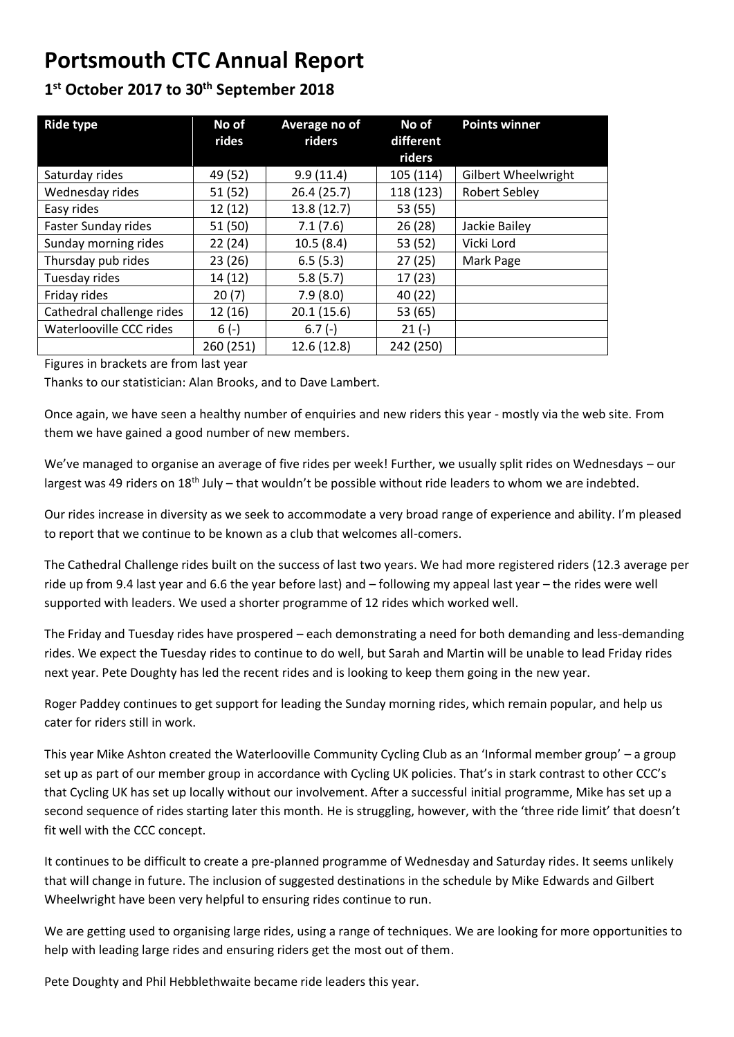## **Portsmouth CTC Annual Report**

## **1 st October 2017 to 30th September 2018**

| <b>Ride type</b>          | No of<br>rides | Average no of<br>riders | No of<br>different | <b>Points winner</b>       |
|---------------------------|----------------|-------------------------|--------------------|----------------------------|
|                           |                |                         | riders             |                            |
| Saturday rides            | 49 (52)        | 9.9(11.4)               | 105 (114)          | <b>Gilbert Wheelwright</b> |
| Wednesday rides           | 51 (52)        | 26.4(25.7)              | 118 (123)          | <b>Robert Sebley</b>       |
| Easy rides                | 12 (12)        | 13.8 (12.7)             | 53 (55)            |                            |
| Faster Sunday rides       | 51(50)         | 7.1(7.6)                | 26(28)             | Jackie Bailey              |
| Sunday morning rides      | 22(24)         | 10.5(8.4)               | 53 (52)            | Vicki Lord                 |
| Thursday pub rides        | 23 (26)        | 6.5(5.3)                | 27(25)             | Mark Page                  |
| Tuesday rides             | 14 (12)        | 5.8(5.7)                | 17 (23)            |                            |
| Friday rides              | 20(7)          | 7.9(8.0)                | 40 (22)            |                            |
| Cathedral challenge rides | 12 (16)        | 20.1(15.6)              | 53 (65)            |                            |
| Waterlooville CCC rides   | $6(-)$         | $6.7(-)$                | $21(-)$            |                            |
|                           | 260 (251)      | 12.6 (12.8)             | 242 (250)          |                            |

Figures in brackets are from last year

Thanks to our statistician: Alan Brooks, and to Dave Lambert.

Once again, we have seen a healthy number of enquiries and new riders this year - mostly via the web site. From them we have gained a good number of new members.

We've managed to organise an average of five rides per week! Further, we usually split rides on Wednesdays – our largest was 49 riders on 18<sup>th</sup> July – that wouldn't be possible without ride leaders to whom we are indebted.

Our rides increase in diversity as we seek to accommodate a very broad range of experience and ability. I'm pleased to report that we continue to be known as a club that welcomes all-comers.

The Cathedral Challenge rides built on the success of last two years. We had more registered riders (12.3 average per ride up from 9.4 last year and 6.6 the year before last) and – following my appeal last year – the rides were well supported with leaders. We used a shorter programme of 12 rides which worked well.

The Friday and Tuesday rides have prospered – each demonstrating a need for both demanding and less-demanding rides. We expect the Tuesday rides to continue to do well, but Sarah and Martin will be unable to lead Friday rides next year. Pete Doughty has led the recent rides and is looking to keep them going in the new year.

Roger Paddey continues to get support for leading the Sunday morning rides, which remain popular, and help us cater for riders still in work.

This year Mike Ashton created the Waterlooville Community Cycling Club as an 'Informal member group' – a group set up as part of our member group in accordance with Cycling UK policies. That's in stark contrast to other CCC's that Cycling UK has set up locally without our involvement. After a successful initial programme, Mike has set up a second sequence of rides starting later this month. He is struggling, however, with the 'three ride limit' that doesn't fit well with the CCC concept.

It continues to be difficult to create a pre-planned programme of Wednesday and Saturday rides. It seems unlikely that will change in future. The inclusion of suggested destinations in the schedule by Mike Edwards and Gilbert Wheelwright have been very helpful to ensuring rides continue to run.

We are getting used to organising large rides, using a range of techniques. We are looking for more opportunities to help with leading large rides and ensuring riders get the most out of them.

Pete Doughty and Phil Hebblethwaite became ride leaders this year.